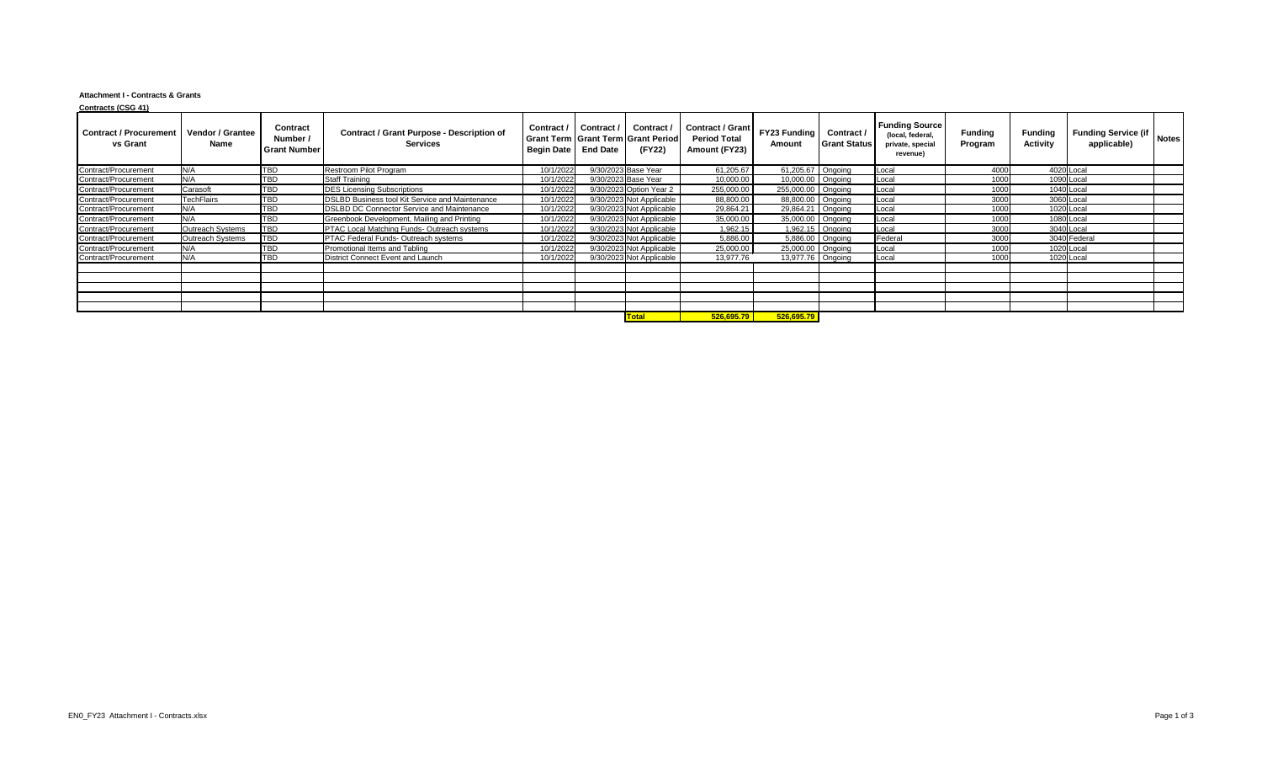## **Attachment I - Contracts & Grants**

| <b>Contracts (CSG 41)</b>                        |                                        |                                                    |                                                                     |            |                                          |                                                                         |                                                                           |                    |                                       |                                                                           |                           |                                   |                                              |
|--------------------------------------------------|----------------------------------------|----------------------------------------------------|---------------------------------------------------------------------|------------|------------------------------------------|-------------------------------------------------------------------------|---------------------------------------------------------------------------|--------------------|---------------------------------------|---------------------------------------------------------------------------|---------------------------|-----------------------------------|----------------------------------------------|
| <b>Contract / Procurement</b><br><b>vs Grant</b> | <b>Vendor / Grantee</b><br><b>Name</b> | <b>Contract</b><br>Number /<br><b>Grant Number</b> | <b>Contract / Grant Purpose - Description of</b><br><b>Services</b> | Begin Date | Contract / Contract /<br><b>End Date</b> | Contract /<br><b>Grant Term   Grant Term   Grant Period  </b><br>(FY22) | Contract / Grant   FY23 Funding  <br><b>Period Total</b><br>Amount (FY23) | Amount             | Contract /<br><b>Grant Status</b>     | <b>Funding Source</b><br>(local, federal,<br>private, special<br>revenue) | <b>Funding</b><br>Program | <b>Funding</b><br><b>Activity</b> | Funding Service (if   Notes "<br>applicable) |
| Contract/Procurement                             | N/A                                    | <b>TBD</b>                                         | Restroom Pilot Program                                              | 10/1/2022  |                                          | 9/30/2023 Base Year                                                     | 61,205.67                                                                 | 61,205.67 Ongoing  |                                       | Local                                                                     | 4000                      | 4020 Local                        |                                              |
| Contract/Procurement                             | N/A                                    | <b>TBD</b>                                         | <b>Staff Training</b>                                               | 10/1/2022  |                                          | 9/30/2023 Base Year                                                     | 10,000.00                                                                 | 10,000.00 Ongoing  |                                       | Local                                                                     | 1000                      | 1090 Local                        |                                              |
| Contract/Procurement                             | Carasoft                               | <b>TBD</b>                                         | <b>DES Licensing Subscriptions</b>                                  | 10/1/2022  |                                          | 9/30/2023 Option Year 2                                                 | 255,000.00                                                                | 255,000.00 Ongoing |                                       | Local                                                                     | 1000                      | 1040 Local                        |                                              |
| Contract/Procurement                             | <b>TechFlairs</b>                      | <b>TBD</b>                                         | <b>DSLBD Business tool Kit Service and Maintenance</b>              | 10/1/2022  |                                          | 9/30/2023 Not Applicable                                                | 88,800.00                                                                 | 88,800.00 Ongoing  |                                       | Local                                                                     | 3000                      | 3060 Local                        |                                              |
| Contract/Procurement                             | N/A                                    | <b>TBD</b>                                         | <b>DSLBD DC Connector Service and Maintenance</b>                   | 10/1/2022  |                                          | 9/30/2023 Not Applicable                                                | 29,864.21                                                                 | 29,864.21 Ongoing  |                                       | Local                                                                     | 1000                      | 1020 Local                        |                                              |
| Contract/Procurement                             | N/A                                    | <b>TBD</b>                                         | Greenbook Development, Mailing and Printing                         | 10/1/2022  |                                          | 9/30/2023 Not Applicable                                                | 35,000.00                                                                 | 35,000.00 Ongoing  |                                       | Local                                                                     | 1000                      | 1080 Local                        |                                              |
| Contract/Procurement                             | Outreach Systems                       | <b>TBD</b>                                         | <b>PTAC Local Matching Funds- Outreach systems</b>                  | 10/1/2022  |                                          | 9/30/2023 Not Applicable                                                | 1,962.15                                                                  |                    | 1,962.15 $\sqrt{\phantom{a}}$ Ongoing | Local                                                                     | 3000                      | 3040 Local                        |                                              |
| Contract/Procurement                             | Outreach Systems                       | <b>TBD</b>                                         | <b>PTAC Federal Funds- Outreach systems</b>                         | 10/1/2022  |                                          | 9/30/2023 Not Applicable                                                | 5,886.00                                                                  | 5,886.00 Ongoing   |                                       | Federal                                                                   | 3000                      | 3040 Federal                      |                                              |
| Contract/Procurement                             | N/A                                    | <b>TBD</b>                                         | Promotional Items and Tabling                                       | 10/1/2022  |                                          | 9/30/2023 Not Applicable                                                | 25,000.00                                                                 | 25,000.00 Ongoing  |                                       | Local                                                                     | 1000                      | 1020 Local                        |                                              |
| Contract/Procurement                             | N/A                                    | <b>TBD</b>                                         | District Connect Event and Launch                                   | 10/1/2022  |                                          | 9/30/2023 Not Applicable                                                | 13,977.76                                                                 | 13,977.76 Ongoing  |                                       | Local                                                                     | 1000                      | 1020 Local                        |                                              |
|                                                  |                                        |                                                    |                                                                     |            |                                          |                                                                         |                                                                           |                    |                                       |                                                                           |                           |                                   |                                              |
|                                                  |                                        |                                                    |                                                                     |            |                                          |                                                                         |                                                                           |                    |                                       |                                                                           |                           |                                   |                                              |
|                                                  |                                        |                                                    |                                                                     |            |                                          |                                                                         |                                                                           |                    |                                       |                                                                           |                           |                                   |                                              |
|                                                  |                                        |                                                    |                                                                     |            |                                          |                                                                         |                                                                           |                    |                                       |                                                                           |                           |                                   |                                              |
|                                                  |                                        |                                                    |                                                                     |            |                                          |                                                                         |                                                                           |                    |                                       |                                                                           |                           |                                   |                                              |
|                                                  |                                        |                                                    |                                                                     |            |                                          | $T_{odd}$                                                               | $F_2F_2F_1F_2F_1$                                                         | E2E E2E 70         |                                       |                                                                           |                           |                                   |                                              |

**Total 526,695.79 526,695.79**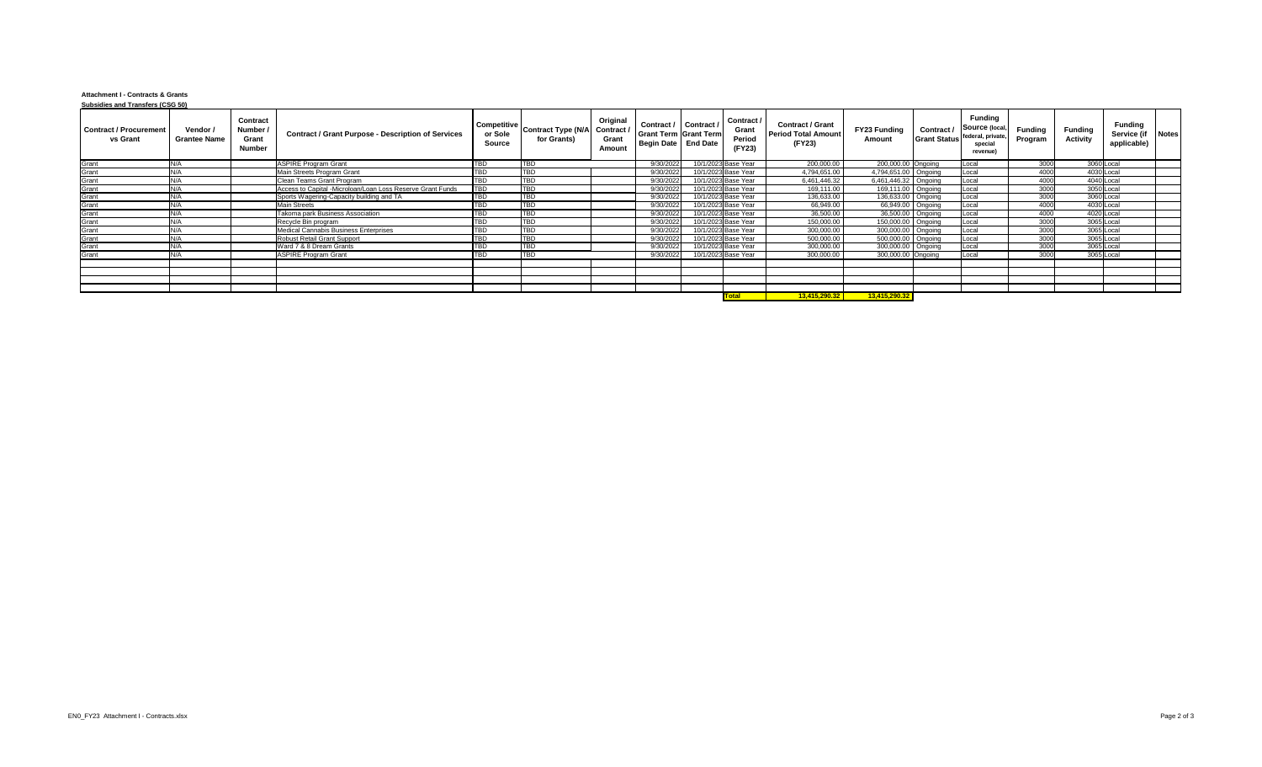## **Attachment I - Contracts & Grants Subsidies and Transfers (CSG 50)**

| <u>odbaldica dilu Transicia (000 30</u><br><b>Contract / Procurement</b><br>vs Grant | Vendor /<br><b>Grantee Name</b> | <b>Contract</b><br>Number /<br>Grant<br><b>Number</b> | <b>Contract / Grant Purpose - Description of Services</b>  | <b>Source</b>    | Competitive Contract Type (N/A Contract / '<br>for Grants) | Original<br><b>Grant</b><br><b>Amount</b> | Contract / Contract /<br><b>Grant Term Grant Term</b><br>Begin Date   End Date | Contract /<br><b>Grant</b><br>Period<br>(FY23) | <b>Contract / Grant</b><br><b>Period Total Amount</b><br>(FY23) | <b>FY23 Funding</b><br><b>Amount</b> | Contract / | <b>Funding</b><br>Source (local,<br>Grant Status federal, private,<br>special<br>revenue | <b>Funding</b><br>Program | <b>Funding</b><br><b>Activity</b> | <b>Funding</b><br>Service (if Notes<br>applicable) |  |
|--------------------------------------------------------------------------------------|---------------------------------|-------------------------------------------------------|------------------------------------------------------------|------------------|------------------------------------------------------------|-------------------------------------------|--------------------------------------------------------------------------------|------------------------------------------------|-----------------------------------------------------------------|--------------------------------------|------------|------------------------------------------------------------------------------------------|---------------------------|-----------------------------------|----------------------------------------------------|--|
| Grant                                                                                | N/A                             |                                                       | <b>ASPIRE Program Grant</b>                                | TBD              | <b>TBD</b>                                                 |                                           | 9/30/2022                                                                      | 10/1/2023 Base Year                            | 200,000.00                                                      | 200,000.00 Ongoing                   |            | Local                                                                                    | 3000                      | 3060 Local                        |                                                    |  |
| Grant                                                                                |                                 |                                                       | Main Streets Program Grant                                 | TBD              | <b>TBD</b>                                                 |                                           | 9/30/2022                                                                      | 10/1/2023 Base Year                            | 4,794,651.00                                                    | 4,794,651.00   Ongoing               |            | Loca                                                                                     | 4000                      | 4030 Local                        |                                                    |  |
| Grant                                                                                | N/A                             |                                                       | Clean Teams Grant Program                                  | TBD              | <b>TBD</b>                                                 |                                           | 9/30/2022                                                                      | 10/1/2023 Base Year                            | 6,461,446.32                                                    | 6,461,446.32 Ongoing                 |            | Loca                                                                                     | 4000                      | 4040 Local                        |                                                    |  |
| Grant                                                                                | N/A                             |                                                       | Access to Capital -Microloan/Loan Loss Reserve Grant Funds | TBD              | <b>TBD</b>                                                 |                                           | 9/30/2022                                                                      | 10/1/2023 Base Year                            | 169,111.00                                                      | 169,111.00 Ongoing                   |            | Loca                                                                                     | 3000                      | 3050 Local                        |                                                    |  |
|                                                                                      | N/A                             |                                                       | Sports Wagering-Capacity building and TA                   | $\overline{TBD}$ | TBD                                                        |                                           | 9/30/2022                                                                      | 10/1/2023 Base Year                            | 136,633.00                                                      | 136,633.00 Ongoing                   |            | Local                                                                                    | 3000                      | 3060 Local                        |                                                    |  |
|                                                                                      | N/A                             |                                                       | <b>Main Streets</b>                                        | <b>TBD</b>       | TBD                                                        |                                           | 9/30/2022                                                                      | 10/1/2023 Base Year                            | 66,949.00                                                       | 66,949.00   Ongoing                  |            | Local                                                                                    | 4000                      | 4030 Local                        |                                                    |  |
| Grant<br>Grant<br>Grant                                                              | N/A                             |                                                       | Takoma park Business Association                           | <b>TBD</b>       | <b>TBD</b>                                                 |                                           | 9/30/2022                                                                      | 10/1/2023 Base Year                            | 36,500.00                                                       | 36,500.00   Ongoing                  |            | Local                                                                                    | 4000                      | 4020 Local                        |                                                    |  |
| Grant                                                                                | N/A                             |                                                       | Recycle Bin program                                        | <b>TBD</b>       | <b>TBD</b>                                                 |                                           | 9/30/2022                                                                      | 10/1/2023 Base Year                            | 150,000.00                                                      | 150,000.00   Ongoing                 |            | Local                                                                                    | 3000                      | 3065 Local                        |                                                    |  |
| Grant                                                                                | N/A                             |                                                       | Medical Cannabis Business Enterprises                      | TBD              | <b>TBD</b>                                                 |                                           | 9/30/2022                                                                      | 10/1/2023 Base Year                            | 300,000.00                                                      | 300,000.00 Ongoing                   |            | Local                                                                                    | 3000                      | 3065 Local                        |                                                    |  |
| Grant                                                                                | N/A                             |                                                       | <b>Robust Retail Grant Support</b>                         | TBD              | <b>TBD</b>                                                 |                                           | 9/30/2022                                                                      | 10/1/2023 Base Year                            | 500,000.00                                                      | 500,000.00   Ongoing                 |            | Local                                                                                    | 3000                      | 3065 Local                        |                                                    |  |
| Grant                                                                                | N/A                             |                                                       | Ward 7 & 8 Dream Grants                                    | <b>TBD</b>       | TBD                                                        |                                           | 9/30/2022                                                                      | 10/1/2023 Base Year                            | 300,000.00                                                      | 300,000.00 Ongoing                   |            | Local                                                                                    | 3000                      | 3065 Local                        |                                                    |  |
| Grant                                                                                | N/A                             |                                                       | <b>ASPIRE Program Grant</b>                                | <b>TBD</b>       | <b>TBD</b>                                                 |                                           | 9/30/2022                                                                      | 10/1/2023 Base Year                            | 300,000.00                                                      | 300,000.00 Ongoing                   |            | Local                                                                                    | 3000                      | 3065 Local                        |                                                    |  |
|                                                                                      |                                 |                                                       |                                                            |                  |                                                            |                                           |                                                                                |                                                |                                                                 |                                      |            |                                                                                          |                           |                                   |                                                    |  |
|                                                                                      |                                 |                                                       |                                                            |                  |                                                            |                                           |                                                                                |                                                |                                                                 |                                      |            |                                                                                          |                           |                                   |                                                    |  |
|                                                                                      |                                 |                                                       |                                                            |                  |                                                            |                                           |                                                                                |                                                |                                                                 |                                      |            |                                                                                          |                           |                                   |                                                    |  |
|                                                                                      |                                 |                                                       |                                                            |                  |                                                            |                                           |                                                                                |                                                |                                                                 |                                      |            |                                                                                          |                           |                                   |                                                    |  |
|                                                                                      |                                 |                                                       |                                                            |                  |                                                            |                                           |                                                                                | <u> Total</u>                                  | 13,415,290.32                                                   | 13,415,290.32                        |            |                                                                                          |                           |                                   |                                                    |  |